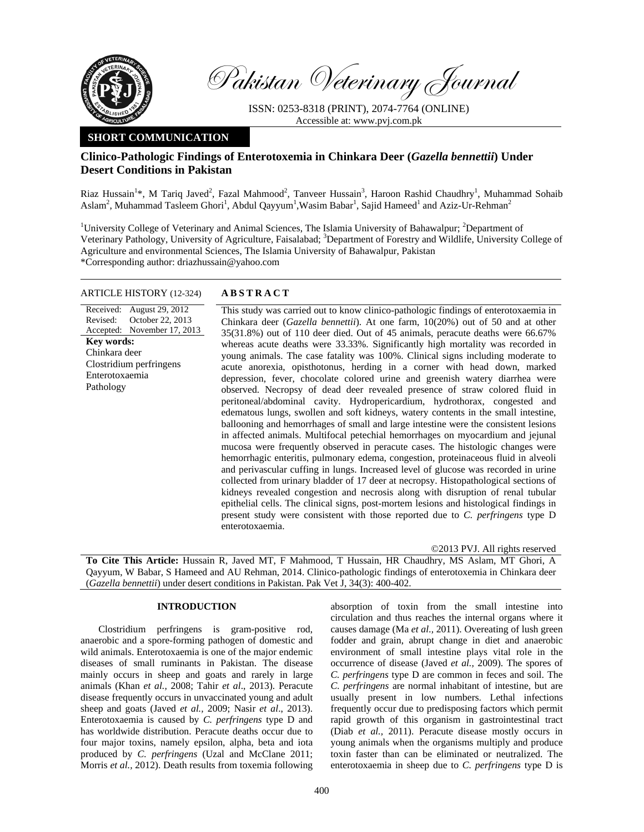

Pakistan Veterinary Journal

ISSN: 0253-8318 (PRINT), 2074-7764 (ONLINE) Accessible at: www.pvj.com.pk

## **SHORT COMMUNICATION**

# **Clinico-Pathologic Findings of Enterotoxemia in Chinkara Deer (***Gazella bennettii***) Under Desert Conditions in Pakistan**

Riaz Hussain<sup>1</sup>\*, M Tariq Javed<sup>2</sup>, Fazal Mahmood<sup>2</sup>, Tanveer Hussain<sup>3</sup>, Haroon Rashid Chaudhry<sup>1</sup>, Muhammad Sohaib Aslam<sup>2</sup>, Muhammad Tasleem Ghori<sup>1</sup>, Abdul Qayyum<sup>1</sup>, Wasim Babar<sup>1</sup>, Sajid Hameed<sup>1</sup> and Aziz-Ur-Rehman<sup>2</sup>

<sup>1</sup>University College of Veterinary and Animal Sciences, The Islamia University of Bahawalpur; <sup>2</sup>Department of Veterinary Pathology, University of Agriculture, Faisalabad; <sup>3</sup>Department of Forestry and Wildlife, University College of Agriculture and environmental Sciences, The Islamia University of Bahawalpur, Pakistan \*Corresponding author: driazhussain@yahoo.com

#### ARTICLE HISTORY (12-324) **ABSTRACT**

Received: August 29, 2012 Revised: Accepted: November 17, 2013 October 22, 2013 This study was carried out to know clinico-pathologic findings of enterotoxaemia in Chinkara deer (*Gazella bennettii*). At one farm, 10(20%) out of 50 and at other 35(31.8%) out of 110 deer died. Out of 45 animals, peracute deaths were 66.67% whereas acute deaths were 33.33%. Significantly high mortality was recorded in young animals. The case fatality was 100%. Clinical signs including moderate to acute anorexia, opisthotonus, herding in a corner with head down, marked depression, fever, chocolate colored urine and greenish watery diarrhea were observed. Necropsy of dead deer revealed presence of straw colored fluid in peritoneal/abdominal cavity. Hydropericardium, hydrothorax, congested and edematous lungs, swollen and soft kidneys, watery contents in the small intestine, ballooning and hemorrhages of small and large intestine were the consistent lesions in affected animals. Multifocal petechial hemorrhages on myocardium and jejunal mucosa were frequently observed in peracute cases. The histologic changes were hemorrhagic enteritis, pulmonary edema, congestion, proteinaceous fluid in alveoli and perivascular cuffing in lungs. Increased level of glucose was recorded in urine collected from urinary bladder of 17 deer at necropsy. Histopathological sections of kidneys revealed congestion and necrosis along with disruption of renal tubular epithelial cells. The clinical signs, post-mortem lesions and histological findings in **Key words:**  Chinkara deer Clostridium perfringens Enterotoxaemia Pathology

enterotoxaemia.

©2013 PVJ. All rights reserved

**To Cite This Article:** Hussain R, Javed MT, F Mahmood, T Hussain, HR Chaudhry, MS Aslam, MT Ghori, A Qayyum, W Babar, S Hameed and AU Rehman, 2014. Clinico-pathologic findings of enterotoxemia in Chinkara deer (*Gazella bennettii*) under desert conditions in Pakistan. Pak Vet J, 34(3): 400-402.

present study were consistent with those reported due to *C. perfringens* type D

## **INTRODUCTION**

Clostridium perfringens is gram-positive rod, anaerobic and a spore-forming pathogen of domestic and wild animals. Enterotoxaemia is one of the major endemic diseases of small ruminants in Pakistan. The disease mainly occurs in sheep and goats and rarely in large animals (Khan *et al.,* 2008; Tahir *et al*., 2013). Peracute disease frequently occurs in unvaccinated young and adult sheep and goats (Javed *et al.,* 2009; Nasir *et al*., 2013). Enterotoxaemia is caused by *C. perfringens* type D and has worldwide distribution. Peracute deaths occur due to four major toxins, namely epsilon, alpha, beta and iota produced by *C. perfringens* (Uzal and McClane 2011; Morris *et al.,* 2012). Death results from toxemia following absorption of toxin from the small intestine into circulation and thus reaches the internal organs where it causes damage (Ma *et al.,* 2011). Overeating of lush green fodder and grain, abrupt change in diet and anaerobic environment of small intestine plays vital role in the occurrence of disease (Javed *et al.,* 2009). The spores of *C. perfringens* type D are common in feces and soil. The *C. perfringens* are normal inhabitant of intestine, but are usually present in low numbers. Lethal infections frequently occur due to predisposing factors which permit rapid growth of this organism in gastrointestinal tract (Diab *et al.,* 2011). Peracute disease mostly occurs in young animals when the organisms multiply and produce toxin faster than can be eliminated or neutralized. The enterotoxaemia in sheep due to *C. perfringens* type D is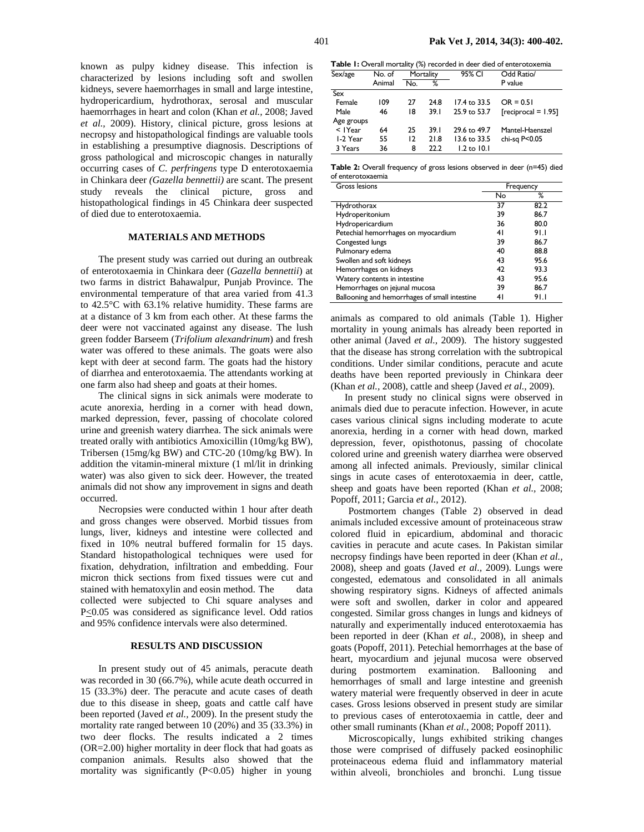known as pulpy kidney disease. This infection is characterized by lesions including soft and swollen kidneys, severe haemorrhages in small and large intestine, hydropericardium, hydrothorax, serosal and muscular haemorrhages in heart and colon (Khan *et al.,* 2008; Javed *et al.,* 2009). History, clinical picture, gross lesions at necropsy and histopathological findings are valuable tools in establishing a presumptive diagnosis. Descriptions of gross pathological and microscopic changes in naturally occurring cases of *C. perfringens* type D enterotoxaemia in Chinkara deer *(Gazella bennettii)* are scant. The present study reveals the clinical picture, gross and histopathological findings in 45 Chinkara deer suspected of died due to enterotoxaemia.

## **MATERIALS AND METHODS**

The present study was carried out during an outbreak of enterotoxaemia in Chinkara deer (*Gazella bennettii*) at two farms in district Bahawalpur, Punjab Province. The environmental temperature of that area varied from 41.3 to 42.5°C with 63.1% relative humidity. These farms are at a distance of 3 km from each other. At these farms the deer were not vaccinated against any disease. The lush green fodder Barseem (*Trifolium alexandrinum*) and fresh water was offered to these animals. The goats were also kept with deer at second farm. The goats had the history of diarrhea and enterotoxaemia. The attendants working at one farm also had sheep and goats at their homes.

The clinical signs in sick animals were moderate to acute anorexia, herding in a corner with head down, marked depression, fever, passing of chocolate colored urine and greenish watery diarrhea. The sick animals were treated orally with antibiotics Amoxicillin (10mg/kg BW), Tribersen (15mg/kg BW) and CTC-20 (10mg/kg BW). In addition the vitamin-mineral mixture (1 ml/lit in drinking water) was also given to sick deer. However, the treated animals did not show any improvement in signs and death occurred.

Necropsies were conducted within 1 hour after death and gross changes were observed. Morbid tissues from lungs, liver, kidneys and intestine were collected and fixed in 10% neutral buffered formalin for 15 days. Standard histopathological techniques were used for fixation, dehydration, infiltration and embedding. Four micron thick sections from fixed tissues were cut and stained with hematoxylin and eosin method. The data collected were subjected to Chi square analyses and P<0.05 was considered as significance level. Odd ratios and 95% confidence intervals were also determined.

#### **RESULTS AND DISCUSSION**

In present study out of 45 animals, peracute death was recorded in 30 (66.7%), while acute death occurred in 15 (33.3%) deer. The peracute and acute cases of death due to this disease in sheep, goats and cattle calf have been reported (Javed *et al.,* 2009). In the present study the mortality rate ranged between 10 (20%) and 35 (33.3%) in two deer flocks. The results indicated a 2 times (OR=2.00) higher mortality in deer flock that had goats as companion animals. Results also showed that the mortality was significantly (P<0.05) higher in young

| Sex/age      | No. of | Mortality |      | 95% CI          | Odd Ratio/            |  |  |
|--------------|--------|-----------|------|-----------------|-----------------------|--|--|
|              | Animal | No.       | ℅    |                 | P value               |  |  |
| Sex          |        |           |      |                 |                       |  |  |
| Female       | 109    | 27        | 24.8 | 17.4 to 33.5    | $OR = 0.51$           |  |  |
| Male         | 46     | 18        | 39.1 | 25.9 to 53.7    | $[reciprocal = 1.95]$ |  |  |
| Age groups   |        |           |      |                 |                       |  |  |
| $<$ $1$ Year | 64     | 25        | 39.1 | 29.6 to 49.7    | Mantel-Haenszel       |  |  |
| 1-2 Year     | 55     | 12        | 21.8 | 13.6 to 33.5    | chi-sq P<0.05         |  |  |
| 3 Years      | 36     | 8         | 22.2 | $1.2$ to $10.1$ |                       |  |  |

| Table 2: Overall frequency of gross lesions observed in deer (n=45) died |  |  |  |  |
|--------------------------------------------------------------------------|--|--|--|--|
| of enterotoxaemia                                                        |  |  |  |  |

| Gross lesions                                 | Frequency |      |  |  |
|-----------------------------------------------|-----------|------|--|--|
|                                               | No        | ℅    |  |  |
| Hydrothorax                                   | 37        | 82.2 |  |  |
| Hydroperitonium                               | 39        | 86.7 |  |  |
| Hydropericardium                              | 36        | 80.0 |  |  |
| Petechial hemorrhages on myocardium           | 41        | 91.I |  |  |
| Congested lungs                               | 39        | 86.7 |  |  |
| Pulmonary edema                               | 40        | 88.8 |  |  |
| Swollen and soft kidneys                      | 43        | 95.6 |  |  |
| Hemorrhages on kidneys                        | 42        | 93.3 |  |  |
| Watery contents in intestine                  | 43        | 95.6 |  |  |
| Hemorrhages on jejunal mucosa                 | 39        | 86.7 |  |  |
| Ballooning and hemorrhages of small intestine | 41        | 91.I |  |  |

animals as compared to old animals (Table 1). Higher mortality in young animals has already been reported in other animal (Javed *et al.,* 2009). The history suggested that the disease has strong correlation with the subtropical conditions. Under similar conditions, peracute and acute deaths have been reported previously in Chinkara deer (Khan *et al.,* 2008), cattle and sheep (Javed *et al.,* 2009).

 In present study no clinical signs were observed in animals died due to peracute infection. However, in acute cases various clinical signs including moderate to acute anorexia, herding in a corner with head down, marked depression, fever, opisthotonus, passing of chocolate colored urine and greenish watery diarrhea were observed among all infected animals. Previously, similar clinical sings in acute cases of enterotoxaemia in deer, cattle, sheep and goats have been reported (Khan *et al.,* 2008; Popoff, 2011; Garcia *et al.,* 2012).

Postmortem changes (Table 2) observed in dead animals included excessive amount of proteinaceous straw colored fluid in epicardium, abdominal and thoracic cavities in peracute and acute cases. In Pakistan similar necropsy findings have been reported in deer (Khan *et al.,* 2008), sheep and goats (Javed *et al.,* 2009). Lungs were congested, edematous and consolidated in all animals showing respiratory signs. Kidneys of affected animals were soft and swollen, darker in color and appeared congested. Similar gross changes in lungs and kidneys of naturally and experimentally induced enterotoxaemia has been reported in deer (Khan *et al.,* 2008), in sheep and goats (Popoff, 2011). Petechial hemorrhages at the base of heart, myocardium and jejunal mucosa were observed during postmortem examination. Ballooning and hemorrhages of small and large intestine and greenish watery material were frequently observed in deer in acute cases. Gross lesions observed in present study are similar to previous cases of enterotoxaemia in cattle, deer and other small ruminants (Khan *et al.,* 2008; Popoff 2011).

Microscopically, lungs exhibited striking changes those were comprised of diffusely packed eosinophilic proteinaceous edema fluid and inflammatory material within alveoli, bronchioles and bronchi. Lung tissue